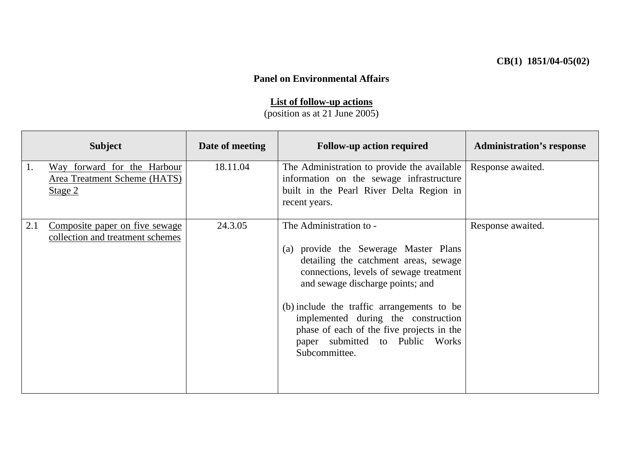## **Panel on Environmental Affairs**

## **List of follow-up actions**

(position as at 21 June 2005)

|     | <b>Subject</b>                                                         | Date of meeting | <b>Follow-up action required</b>                                                                                                                                                                                                                                                                                                                                               | <b>Administration's response</b> |
|-----|------------------------------------------------------------------------|-----------------|--------------------------------------------------------------------------------------------------------------------------------------------------------------------------------------------------------------------------------------------------------------------------------------------------------------------------------------------------------------------------------|----------------------------------|
| 1.  | Way forward for the Harbour<br>Area Treatment Scheme (HATS)<br>Stage 2 | 18.11.04        | The Administration to provide the available<br>information on the sewage infrastructure<br>built in the Pearl River Delta Region in<br>recent years.                                                                                                                                                                                                                           | Response awaited.                |
| 2.1 | Composite paper on five sewage<br>collection and treatment schemes     | 24.3.05         | The Administration to -<br>(a) provide the Sewerage Master Plans<br>detailing the catchment areas, sewage<br>connections, levels of sewage treatment<br>and sewage discharge points; and<br>(b) include the traffic arrangements to be<br>implemented during the construction<br>phase of each of the five projects in the<br>paper submitted to Public Works<br>Subcommittee. | Response awaited.                |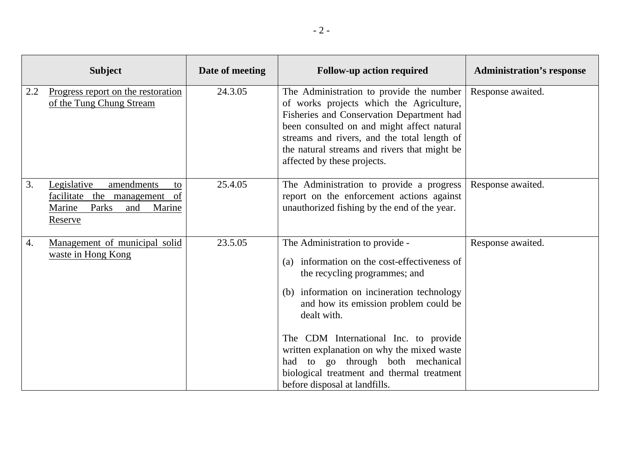|     | <b>Subject</b>                                                                                                       | Date of meeting | <b>Follow-up action required</b>                                                                                                                                                                                                                                                                                                                                                                                                     | <b>Administration's response</b> |
|-----|----------------------------------------------------------------------------------------------------------------------|-----------------|--------------------------------------------------------------------------------------------------------------------------------------------------------------------------------------------------------------------------------------------------------------------------------------------------------------------------------------------------------------------------------------------------------------------------------------|----------------------------------|
| 2.2 | Progress report on the restoration<br>of the Tung Chung Stream                                                       | 24.3.05         | The Administration to provide the number<br>of works projects which the Agriculture,<br>Fisheries and Conservation Department had<br>been consulted on and might affect natural<br>streams and rivers, and the total length of<br>the natural streams and rivers that might be<br>affected by these projects.                                                                                                                        | Response awaited.                |
| 3.  | Legislative<br>amendments<br>to<br>facilitate the<br>management<br>of<br>Marine<br>Parks<br>and<br>Marine<br>Reserve | 25.4.05         | The Administration to provide a progress<br>report on the enforcement actions against<br>unauthorized fishing by the end of the year.                                                                                                                                                                                                                                                                                                | Response awaited.                |
| 4.  | Management of municipal solid<br>waste in Hong Kong                                                                  | 23.5.05         | The Administration to provide -<br>information on the cost-effectiveness of<br>(a)<br>the recycling programmes; and<br>(b) information on incineration technology<br>and how its emission problem could be<br>dealt with.<br>The CDM International Inc. to provide<br>written explanation on why the mixed waste<br>had to go through both mechanical<br>biological treatment and thermal treatment<br>before disposal at landfills. | Response awaited.                |